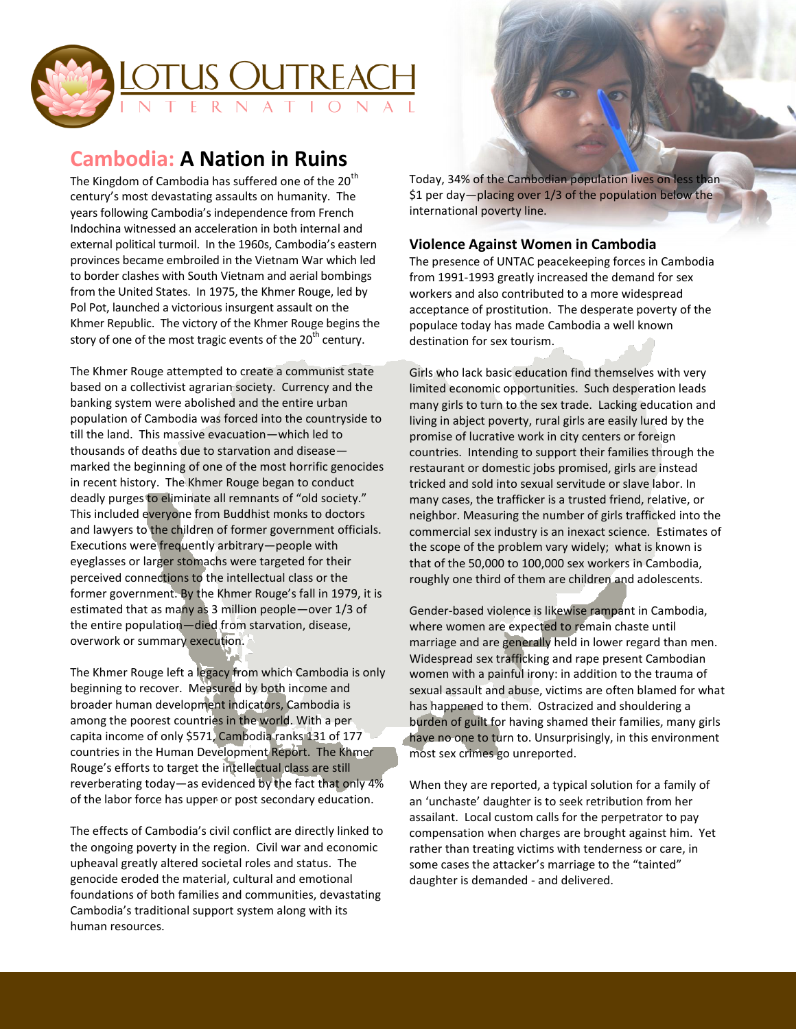

## **Cambodia: A Nation in Ruins**

The Kingdom of Cambodia has suffered one of the  $20<sup>th</sup>$ century's most devastating assaults on humanity. The years following Cambodia's independence from French Indochina witnessed an acceleration in both internal and external political turmoil. In the 1960s, Cambodia's eastern provinces became embroiled in the Vietnam War which led to border clashes with South Vietnam and aerial bombings from the United States. In 1975, the Khmer Rouge, led by Pol Pot, launched a victorious insurgent assault on the Khmer Republic. The victory of the Khmer Rouge begins the story of one of the most tragic events of the  $20<sup>th</sup>$  century.

The Khmer Rouge attempted to create a communist state based on a collectivist agrarian society. Currency and the banking system were abolished and the entire urban population of Cambodia was forced into the countryside to till the land. This massive evacuation—which led to thousands of deaths due to starvation and disease marked the beginning of one of the most horrific genocides in recent history. The Khmer Rouge began to conduct deadly purges to eliminate all remnants of "old society." This included everyone from Buddhist monks to doctors and lawyers to the children of former government officials. Executions were frequently arbitrary—people with eyeglasses or larger stomachs were targeted for their perceived connections to the intellectual class or the former government. By the Khmer Rouge's fall in 1979, it is estimated that as many as 3 million people—over 1/3 of the entire population—died from starvation, disease, overwork or summary execution.

The Khmer Rouge left a legacy from which Cambodia is only beginning to recover. Measured by both income and broader human development indicators, Cambodia is among the poorest countries in the world. With a per capita income of only \$571, Cambodia ranks 131 of 177 countries in the Human Development Report. The Khmer Rouge's efforts to target the intellectual class are still reverberating today—as evidenced by the fact that only 4% of the labor force has upper or post secondary education.

The effects of Cambodia's civil conflict are directly linked to the ongoing poverty in the region. Civil war and economic upheaval greatly altered societal roles and status. The genocide eroded the material, cultural and emotional foundations of both families and communities, devastating Cambodia's traditional support system along with its human resources.

Today, 34% of the Cambodian population lives on less than \$1 per day—placing over 1/3 of the population below the international poverty line.

## **Violence Against Women in Cambodia**

The presence of UNTAC peacekeeping forces in Cambodia from 1991-1993 greatly increased the demand for sex workers and also contributed to a more widespread acceptance of prostitution. The desperate poverty of the populace today has made Cambodia a well known destination for sex tourism.

Girls who lack basic education find themselves with very limited economic opportunities. Such desperation leads many girls to turn to the sex trade. Lacking education and living in abject poverty, rural girls are easily lured by the promise of lucrative work in city centers or foreign countries. Intending to support their families through the restaurant or domestic jobs promised, girls are instead tricked and sold into sexual servitude or slave labor. In many cases, the trafficker is a trusted friend, relative, or neighbor. Measuring the number of girls trafficked into the commercial sex industry is an inexact science. Estimates of the scope of the problem vary widely; what is known is that of the 50,000 to 100,000 sex workers in Cambodia, roughly one third of them are children and adolescents.

Gender-based violence is likewise rampant in Cambodia, where women are expected to remain chaste until marriage and are generally held in lower regard than men. Widespread sex trafficking and rape present Cambodian women with a painful irony: in addition to the trauma of sexual assault and abuse, victims are often blamed for what has happened to them. Ostracized and shouldering a burden of guilt for having shamed their families, many girls have no one to turn to. Unsurprisingly, in this environment most sex crimes go unreported.

When they are reported, a typical solution for a family of an 'unchaste' daughter is to seek retribution from her assailant. Local custom calls for the perpetrator to pay compensation when charges are brought against him. Yet rather than treating victims with tenderness or care, in some cases the attacker's marriage to the "tainted" daughter is demanded - and delivered.